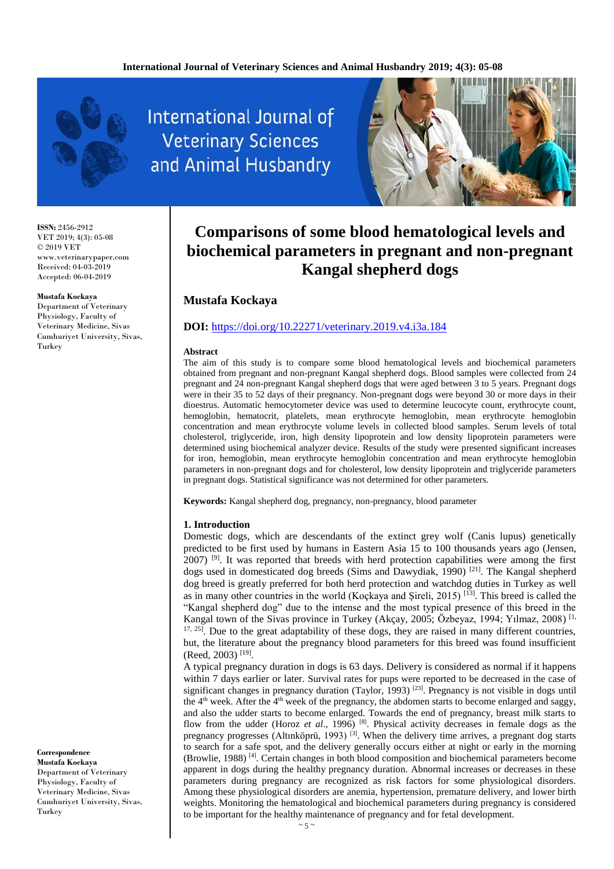

**International Journal of Veterinary Sciences** and Animal Husbandry



**ISSN:** 2456-2912 VET 2019; 4(3): 05-08 © 2019 VET www.veterinarypaper.com Received: 04-03-2019 Accepted: 06-04-2019

#### **Mustafa Kockaya**

Department of Veterinary Physiology, Faculty of Veterinary Medicine, Sivas Cumhuriyet University, Sivas, Turkey

**Correspondence Mustafa Kockaya** Department of Veterinary Physiology, Faculty of Veterinary Medicine, Sivas Cumhuriyet University, Sivas, Turkey

# **Comparisons of some blood hematological levels and biochemical parameters in pregnant and non-pregnant Kangal shepherd dogs**

## **Mustafa Kockaya**

## **DOI:** [https://doi.org/10.22271/veterinary.2019.v4.i3a.184](https://doi.org/10.22271/ortho.2019.v5.i2e.25)

#### **Abstract**

The aim of this study is to compare some blood hematological levels and biochemical parameters obtained from pregnant and non-pregnant Kangal shepherd dogs. Blood samples were collected from 24 pregnant and 24 non-pregnant Kangal shepherd dogs that were aged between 3 to 5 years. Pregnant dogs were in their 35 to 52 days of their pregnancy. Non-pregnant dogs were beyond 30 or more days in their dioestrus. Automatic hemocytometer device was used to determine leucocyte count, erythrocyte count, hemoglobin, hematocrit, platelets, mean erythrocyte hemoglobin, mean erythrocyte hemoglobin concentration and mean erythrocyte volume levels in collected blood samples. Serum levels of total cholesterol, triglyceride, iron, high density lipoprotein and low density lipoprotein parameters were determined using biochemical analyzer device. Results of the study were presented significant increases for iron, hemoglobin, mean erythrocyte hemoglobin concentration and mean erythrocyte hemoglobin parameters in non-pregnant dogs and for cholesterol, low density lipoprotein and triglyceride parameters in pregnant dogs. Statistical significance was not determined for other parameters.

**Keywords:** Kangal shepherd dog, pregnancy, non-pregnancy, blood parameter

#### **1. Introduction**

Domestic dogs, which are descendants of the extinct grey wolf (Canis lupus) genetically predicted to be first used by humans in Eastern Asia 15 to 100 thousands years ago (Jensen,  $2007$  <sup>[9]</sup>. It was reported that breeds with herd protection capabilities were among the first dogs used in domesticated dog breeds (Sims and Dawydiak, 1990) [21]. The Kangal shepherd dog breed is greatly preferred for both herd protection and watchdog duties in Turkey as well as in many other countries in the world (Koçkaya and Şireli, 2015) [13]. This breed is called the "Kangal shepherd dog" due to the intense and the most typical presence of this breed in the Kangal town of the Sivas province in Turkey (Akçay, 2005; Özbeyaz, 1994; Yılmaz, 2008)<sup>[1,</sup>  $17, 25$ ]. Due to the great adaptability of these dogs, they are raised in many different countries, but, the literature about the pregnancy blood parameters for this breed was found insufficient (Reed, 2003)<sup>[19]</sup>.

A typical pregnancy duration in dogs is 63 days. Delivery is considered as normal if it happens within 7 days earlier or later. Survival rates for pups were reported to be decreased in the case of significant changes in pregnancy duration (Taylor, 1993)<sup>[23]</sup>. Pregnancy is not visible in dogs until the 4<sup>th</sup> week. After the <sup>4th</sup> week of the pregnancy, the abdomen starts to become enlarged and saggy, and also the udder starts to become enlarged. Towards the end of pregnancy, breast milk starts to flow from the udder (Horoz *et al*., 1996) [8]. Physical activity decreases in female dogs as the pregnancy progresses (Altınköprü, 1993)<sup>[3]</sup>. When the delivery time arrives, a pregnant dog starts to search for a safe spot, and the delivery generally occurs either at night or early in the morning (Browlie, 1988) [4] . Certain changes in both blood composition and biochemical parameters become apparent in dogs during the healthy pregnancy duration. Abnormal increases or decreases in these parameters during pregnancy are recognized as risk factors for some physiological disorders. Among these physiological disorders are anemia, hypertension, premature delivery, and lower birth weights. Monitoring the hematological and biochemical parameters during pregnancy is considered to be important for the healthy maintenance of pregnancy and for fetal development.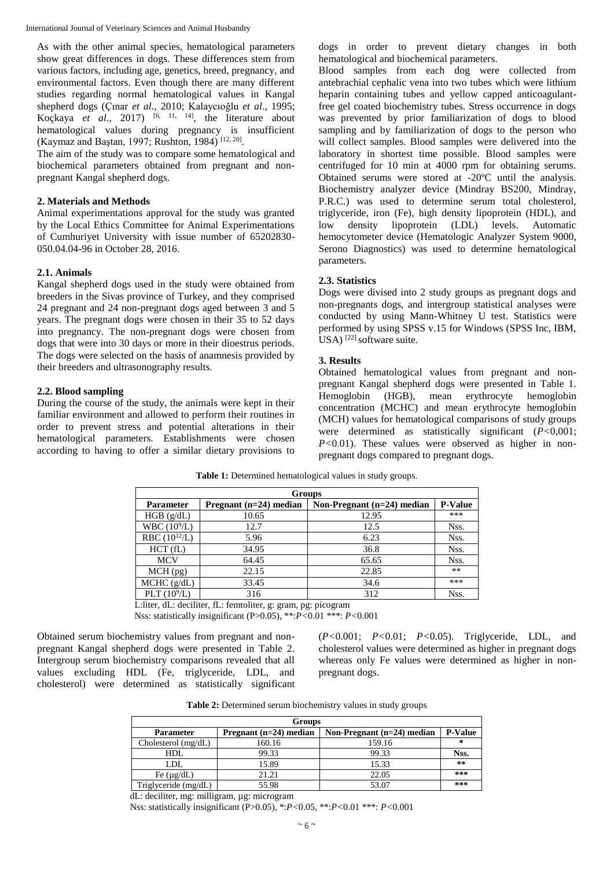As with the other animal species, hematological parameters show great differences in dogs. These differences stem from various factors, including age, genetics, breed, pregnancy, and environmental factors. Even though there are many different studies regarding normal hematological values in Kangal shepherd dogs (Çınar *et al*., 2010; Kalaycıoğlu *et al*., 1995; Koçkaya *et al*., 2017) [6, 11, 14], the literature about hematological values during pregnancy is insufficient (Kaymaz and Baştan, 1997; Rushton, 1984)<sup>[12, 20]</sup>.

The aim of the study was to compare some hematological and biochemical parameters obtained from pregnant and nonpregnant Kangal shepherd dogs.

#### **2. Materials and Methods**

Animal experimentations approval for the study was granted by the Local Ethics Committee for Animal Experimentations of Cumhuriyet University with issue number of 65202830- 050.04.04-96 in October 28, 2016.

#### **2.1. Animals**

Kangal shepherd dogs used in the study were obtained from breeders in the Sivas province of Turkey, and they comprised 24 pregnant and 24 non-pregnant dogs aged between 3 and 5 years. The pregnant dogs were chosen in their 35 to 52 days into pregnancy. The non-pregnant dogs were chosen from dogs that were into 30 days or more in their dioestrus periods. The dogs were selected on the basis of anamnesis provided by their breeders and ultrasonography results.

#### **2.2. Blood sampling**

During the course of the study, the animals were kept in their familiar environment and allowed to perform their routines in order to prevent stress and potential alterations in their hematological parameters. Establishments were chosen according to having to offer a similar dietary provisions to dogs in order to prevent dietary changes in both hematological and biochemical parameters.

Blood samples from each dog were collected from antebrachial cephalic vena into two tubes which were lithium heparin containing tubes and yellow capped anticoagulantfree gel coated biochemistry tubes. Stress occurrence in dogs was prevented by prior familiarization of dogs to blood sampling and by familiarization of dogs to the person who will collect samples. Blood samples were delivered into the laboratory in shortest time possible. Blood samples were centrifuged for 10 min at 4000 rpm for obtaining serums. Obtained serums were stored at -20ºC until the analysis. Biochemistry analyzer device (Mindray BS200, Mindray, P.R.C.) was used to determine serum total cholesterol, triglyceride, iron (Fe), high density lipoprotein (HDL), and low density lipoprotein (LDL) levels. Automatic hemocytometer device (Hematologic Analyzer System 9000, Serono Diagnostics) was used to determine hematological parameters.

#### **2.3. Statistics**

Dogs were divised into 2 study groups as pregnant dogs and non-pregnants dogs, and intergroup statistical analyses were conducted by using Mann-Whitney U test. Statistics were performed by using SPSS v.15 for Windows (SPSS Inc, IBM,  $USA)$ <sup>[22]</sup> software suite.

#### **3. Results**

Obtained hematological values from pregnant and nonpregnant Kangal shepherd dogs were presented in Table 1. Hemoglobin (HGB), mean erythrocyte hemoglobin concentration (MCHC) and mean erythrocyte hemoglobin (MCH) values for hematological comparisons of study groups were determined as statistically significant (*P<*0,001; *P<*0.01). These values were observed as higher in nonpregnant dogs compared to pregnant dogs.

| <b>Groups</b>     |                          |                              |                |  |
|-------------------|--------------------------|------------------------------|----------------|--|
| <b>Parameter</b>  | Pregnant $(n=24)$ median | Non-Pregnant $(n=24)$ median | <b>P-Value</b> |  |
| HGB (g/dL)        | 10.65                    | 12.95                        | ***            |  |
| WBC $(10^9/L)$    | 12.7                     | 12.5                         | Nss.           |  |
| RBC $(10^{12}/L)$ | 5.96                     | 6.23                         | Nss.           |  |
| HCT(fL)           | 34.95                    | 36.8                         | Nss.           |  |
| <b>MCV</b>        | 64.45                    | 65.65                        | Nss.           |  |
| $MCH$ (pg)        | 22.15                    | 22.85                        | $***$          |  |
| MCHC (g/dL)       | 33.45                    | 34.6                         | ***            |  |
| PLT $(10^9/L)$    | 316                      | 312                          | Nss.           |  |

Table 1: Determined hematological values in study groups.

L:liter, dL: deciliter, fL: femtoliter, g: gram, pg: picogram

Nss: statistically insignificant (P>0.05), \*\*:*P<*0.01 \*\*\*: *P<*0.001

Obtained serum biochemistry values from pregnant and nonpregnant Kangal shepherd dogs were presented in Table 2. Intergroup serum biochemistry comparisons revealed that all values excluding HDL (Fe, triglyceride, LDL, and cholesterol) were determined as statistically significant (*P<*0.001; *P<*0.01; *P<*0.05). Triglyceride, LDL, and cholesterol values were determined as higher in pregnant dogs whereas only Fe values were determined as higher in nonpregnant dogs.

**Table 2:** Determined serum biochemistry values in study groups

| <b>Groups</b>         |                          |                              |                |  |
|-----------------------|--------------------------|------------------------------|----------------|--|
| <b>Parameter</b>      | Pregnant $(n=24)$ median | Non-Pregnant $(n=24)$ median | <b>P-Value</b> |  |
| Cholesterol $(mg/dL)$ | 160.16                   | 159.16                       | ∗              |  |
| HDL.                  | 99.33                    | 99.33                        | Nss.           |  |
| LDL                   | 15.89                    | 15.33                        | $* *$          |  |
| Fe $(\mu g/dL)$       | 21.21                    | 22.05                        | $***$          |  |
| Triglyceride (mg/dL)  | 55.98                    | 53.07                        | $***$          |  |

dL: deciliter, mg: milligram, µg: microgram

Nss: statistically insignificant (P>0.05), \*:*P<*0.05, \*\*:*P<*0.01 \*\*\*: *P<*0.001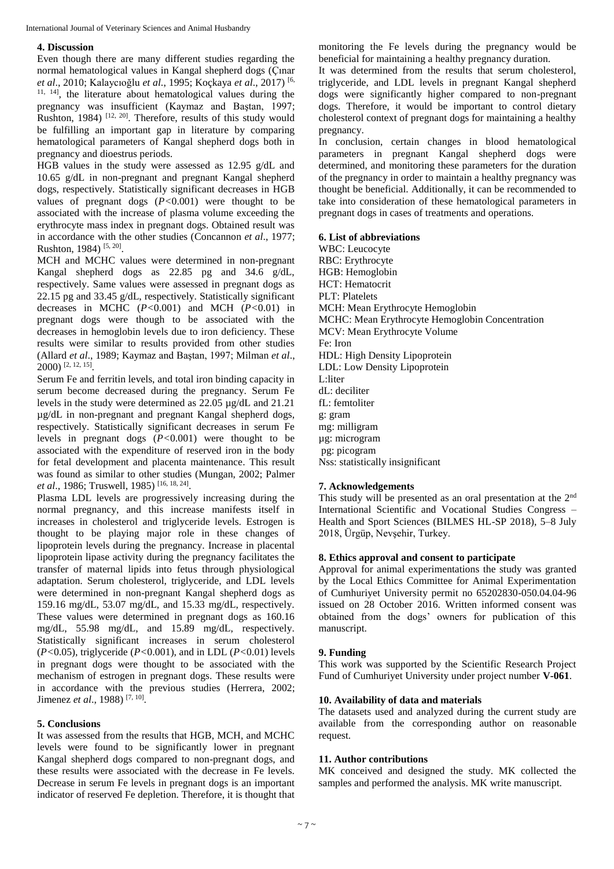#### **4. Discussion**

Even though there are many different studies regarding the normal hematological values in Kangal shepherd dogs (Çınar *et al*., 2010; Kalaycıoğlu *et al*., 1995; Koçkaya *et al*., 2017) [6, 11, 14], the literature about hematological values during the pregnancy was insufficient (Kaymaz and Baştan, 1997; Rushton, 1984)<sup>[12, 20]</sup>. Therefore, results of this study would be fulfilling an important gap in literature by comparing hematological parameters of Kangal shepherd dogs both in pregnancy and dioestrus periods.

HGB values in the study were assessed as 12.95 g/dL and 10.65 g/dL in non-pregnant and pregnant Kangal shepherd dogs, respectively. Statistically significant decreases in HGB values of pregnant dogs (*P<*0.001) were thought to be associated with the increase of plasma volume exceeding the erythrocyte mass index in pregnant dogs. Obtained result was in accordance with the other studies (Concannon *et al*., 1977; Rushton, 1984)<sup>[5, 20]</sup>.

MCH and MCHC values were determined in non-pregnant Kangal shepherd dogs as 22.85 pg and 34.6 g/dL, respectively. Same values were assessed in pregnant dogs as 22.15 pg and 33.45 g/dL, respectively. Statistically significant decreases in MCHC (*P<*0.001) and MCH (*P<*0.01) in pregnant dogs were though to be associated with the decreases in hemoglobin levels due to iron deficiency. These results were similar to results provided from other studies (Allard *et al*., 1989; Kaymaz and Baştan, 1997; Milman *et al*., 2000) [2, 12, 15] .

Serum Fe and ferritin levels, and total iron binding capacity in serum become decreased during the pregnancy. Serum Fe levels in the study were determined as 22.05 µg/dL and 21.21 µg/dL in non-pregnant and pregnant Kangal shepherd dogs, respectively. Statistically significant decreases in serum Fe levels in pregnant dogs (*P<*0.001) were thought to be associated with the expenditure of reserved iron in the body for fetal development and placenta maintenance. This result was found as similar to other studies (Mungan, 2002; Palmer *et al*., 1986; Truswell, 1985) [16, 18, 24] .

Plasma LDL levels are progressively increasing during the normal pregnancy, and this increase manifests itself in increases in cholesterol and triglyceride levels. Estrogen is thought to be playing major role in these changes of lipoprotein levels during the pregnancy. Increase in placental lipoprotein lipase activity during the pregnancy facilitates the transfer of maternal lipids into fetus through physiological adaptation. Serum cholesterol, triglyceride, and LDL levels were determined in non-pregnant Kangal shepherd dogs as 159.16 mg/dL, 53.07 mg/dL, and 15.33 mg/dL, respectively. These values were determined in pregnant dogs as 160.16 mg/dL, 55.98 mg/dL, and 15.89 mg/dL, respectively. Statistically significant increases in serum cholesterol (*P<*0.05), triglyceride (*P<*0.001), and in LDL (*P<*0.01) levels in pregnant dogs were thought to be associated with the mechanism of estrogen in pregnant dogs. These results were in accordance with the previous studies (Herrera, 2002; Jimenez *et al*., 1988) [7, 10] .

## **5. Conclusions**

It was assessed from the results that HGB, MCH, and MCHC levels were found to be significantly lower in pregnant Kangal shepherd dogs compared to non-pregnant dogs, and these results were associated with the decrease in Fe levels. Decrease in serum Fe levels in pregnant dogs is an important indicator of reserved Fe depletion. Therefore, it is thought that monitoring the Fe levels during the pregnancy would be beneficial for maintaining a healthy pregnancy duration.

It was determined from the results that serum cholesterol, triglyceride, and LDL levels in pregnant Kangal shepherd dogs were significantly higher compared to non-pregnant dogs. Therefore, it would be important to control dietary cholesterol context of pregnant dogs for maintaining a healthy pregnancy.

In conclusion, certain changes in blood hematological parameters in pregnant Kangal shepherd dogs were determined, and monitoring these parameters for the duration of the pregnancy in order to maintain a healthy pregnancy was thought be beneficial. Additionally, it can be recommended to take into consideration of these hematological parameters in pregnant dogs in cases of treatments and operations.

#### **6. List of abbreviations**

WBC: Leucocyte RBC: Erythrocyte HGB: Hemoglobin HCT: Hematocrit PLT: Platelets MCH: Mean Erythrocyte Hemoglobin MCHC: Mean Erythrocyte Hemoglobin Concentration MCV: Mean Erythrocyte Volume Fe: Iron HDL: High Density Lipoprotein LDL: Low Density Lipoprotein L:liter dL: deciliter fL: femtoliter g: gram mg: milligram µg: microgram pg: picogram Nss: statistically insignificant

## **7. Acknowledgements**

This study will be presented as an oral presentation at the  $2<sup>nd</sup>$ International Scientific and Vocational Studies Congress – Health and Sport Sciences (BILMES HL-SP 2018), 5–8 July 2018, Ürgüp, Nevşehir, Turkey.

## **8. Ethics approval and consent to participate**

Approval for animal experimentations the study was granted by the Local Ethics Committee for Animal Experimentation of Cumhuriyet University permit no 65202830-050.04.04-96 issued on 28 October 2016. Written informed consent was obtained from the dogs' owners for publication of this manuscript.

## **9. Funding**

This work was supported by the Scientific Research Project Fund of Cumhuriyet University under project number **V-061**.

## **10. Availability of data and materials**

The datasets used and analyzed during the current study are available from the corresponding author on reasonable request.

## **11. Author contributions**

MK conceived and designed the study. MK collected the samples and performed the analysis. MK write manuscript.